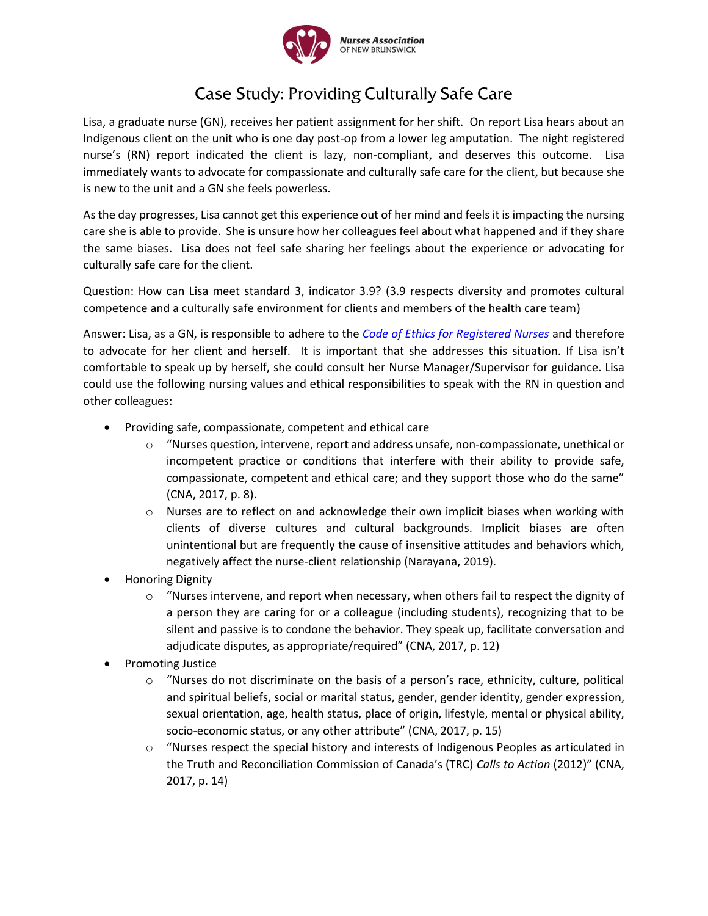

## **Case Study: Providing Culturally Safe Care**

Lisa, a graduate nurse (GN), receives her patient assignment for her shift. On report Lisa hears about an Indigenous client on the unit who is one day post-op from a lower leg amputation. The night registered nurse's (RN) report indicated the client is lazy, non-compliant, and deserves this outcome. Lisa immediately wants to advocate for compassionate and culturally safe care for the client, but because she is new to the unit and a GN she feels powerless.

As the day progresses, Lisa cannot get this experience out of her mind and feels it is impacting the nursing care she is able to provide. She is unsure how her colleagues feel about what happened and if they share the same biases. Lisa does not feel safe sharing her feelings about the experience or advocating for culturally safe care for the client.

Question: How can Lisa meet standard 3, indicator 3.9? (3.9 respects diversity and promotes cultural competence and a culturally safe environment for clients and members of the health care team)

Answer: Lisa, as a GN, is responsible to adhere to the *[Code of Ethics for Registered Nurses](http://www.nanb.nb.ca/resources/results/search&keywords=code%20d%C3%A9ontologie&category=/)* and therefore to advocate for her client and herself. It is important that she addresses this situation. If Lisa isn't comfortable to speak up by herself, she could consult her Nurse Manager/Supervisor for guidance. Lisa could use the following nursing values and ethical responsibilities to speak with the RN in question and other colleagues:

- Providing safe, compassionate, competent and ethical care
	- o "Nurses question, intervene, report and address unsafe, non-compassionate, unethical or incompetent practice or conditions that interfere with their ability to provide safe, compassionate, competent and ethical care; and they support those who do the same" (CNA, 2017, p. 8).
	- $\circ$  Nurses are to reflect on and acknowledge their own implicit biases when working with clients of diverse cultures and cultural backgrounds. Implicit biases are often unintentional but are frequently the cause of insensitive attitudes and behaviors which, negatively affect the nurse-client relationship (Narayana, 2019).
- Honoring Dignity
	- $\circ$  "Nurses intervene, and report when necessary, when others fail to respect the dignity of a person they are caring for or a colleague (including students), recognizing that to be silent and passive is to condone the behavior. They speak up, facilitate conversation and adjudicate disputes, as appropriate/required" (CNA, 2017, p. 12)
- Promoting Justice
	- o "Nurses do not discriminate on the basis of a person's race, ethnicity, culture, political and spiritual beliefs, social or marital status, gender, gender identity, gender expression, sexual orientation, age, health status, place of origin, lifestyle, mental or physical ability, socio-economic status, or any other attribute" (CNA, 2017, p. 15)
	- "Nurses respect the special history and interests of Indigenous Peoples as articulated in the Truth and Reconciliation Commission of Canada's (TRC) *Calls to Action* (2012)" (CNA, 2017, p. 14)